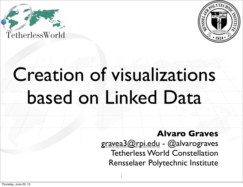



# Creation of visualizations based on Linked Data

1

**Alvaro Graves** [gravea3@rpi.edu](mailto:gravea3@rpi.edu) - @alvarograves Tetherless World Constellation Rensselaer Polytechnic Institute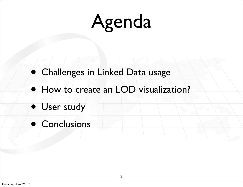# Agenda

- Challenges in Linked Data usage
- How to create an LOD visualization?
- User study
- Conclusions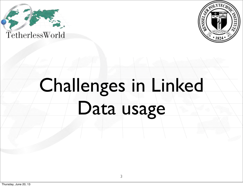



# Challenges in Linked Data usage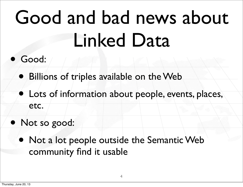# Good and bad news about Linked Data

- Good:
	- Billions of triples available on the Web
	- Lots of information about people, events, places, etc.
- Not so good:
	- Not a lot people outside the Semantic Web community find it usable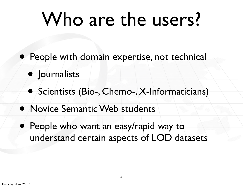# Who are the users?

- People with domain expertise, not technical
	- Journalists
	- Scientists (Bio-, Chemo-, X-Informaticians)
- Novice Semantic Web students
- People who want an easy/rapid way to understand certain aspects of LOD datasets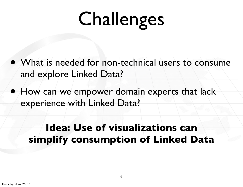# Challenges

- What is needed for non-technical users to consume and explore Linked Data?
- How can we empower domain experts that lack experience with Linked Data?

#### **Idea: Use of visualizations can simplify consumption of Linked Data**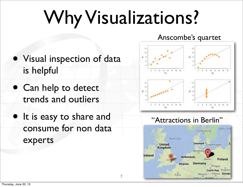# Why Visualizations?

7

Anscombe's quartet

- Visual inspection of data is helpful
- Can help to detect trends and outliers
- It is easy to share and consume for non data experts

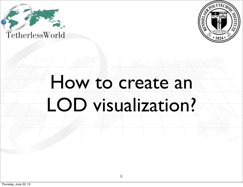



### How to create an LOD visualization?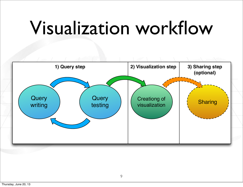## Visualization workflow

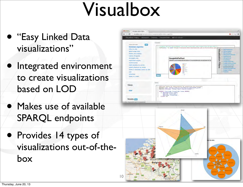### Visualbox

- "Easy Linked Data visualizations"
- Integrated environment to create visualizations based on LOD
- Makes use of available SPARQL endpoints
- Provides 14 types of visualizations out-of-thebox

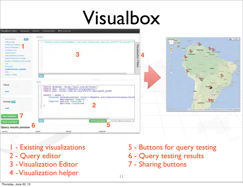## Visualbox



11

- Existing visualizations
- 2 Query editor
- 3 Visualization Editor
- 4 Visualization helper
- 5 Buttons for query testing
- 6 Query testing results
- 7 Sharing buttons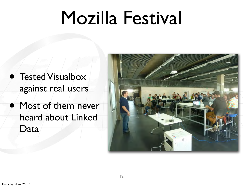### Mozilla Festival

- Tested Visualbox against real users
- Most of them never heard about Linked Data

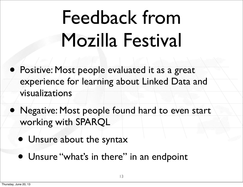# Feedback from Mozilla Festival

- Positive: Most people evaluated it as a great experience for learning about Linked Data and visualizations
- Negative: Most people found hard to even start working with SPARQL
	- Unsure about the syntax
	- Unsure "what's in there" in an endpoint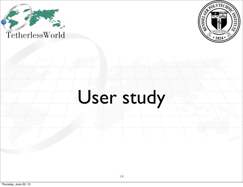



### User study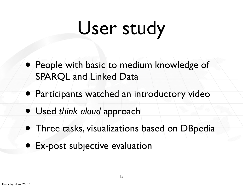# User study

- People with basic to medium knowledge of SPARQL and Linked Data
- Participants watched an introductory video
- Used *think aloud* approach
- Three tasks, visualizations based on DBpedia
- Ex-post subjective evaluation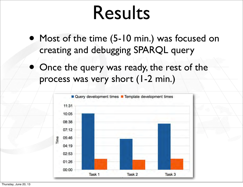### Results

- Most of the time (5-10 min.) was focused on creating and debugging SPARQL query
	- Once the query was ready, the rest of the process was very short (1-2 min.)

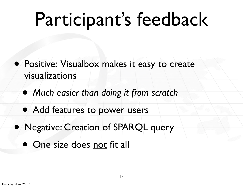## Participant's feedback

- Positive: Visualbox makes it easy to create visualizations
	- *Much easier than doing it from scratch*
	- Add features to power users
- Negative: Creation of SPARQL query
	- One size does not fit all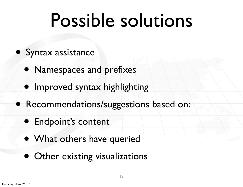# Possible solutions

- Syntax assistance
	- Namespaces and prefixes
	- Improved syntax highlighting
- Recommendations/suggestions based on:
	- Endpoint's content
	- What others have queried
	- Other existing visualizations